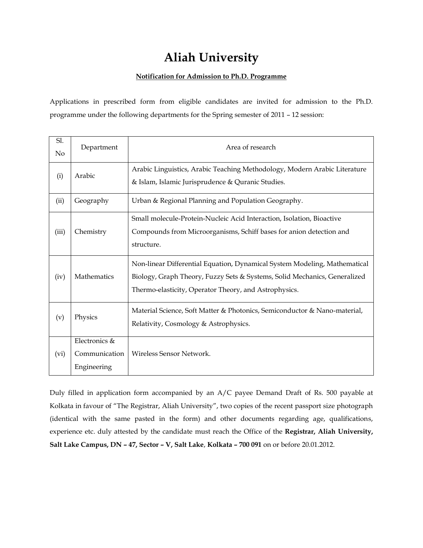# **Aliah University**

### **Notification for Admission to Ph.D. Programme**

Applications in prescribed form from eligible candidates are invited for admission to the Ph.D. programme under the following departments for the Spring semester of 2011 – 12 session:

| Sl.<br>$\rm No$ | Department                                    | Area of research                                                                                                                                                                                                |  |  |  |
|-----------------|-----------------------------------------------|-----------------------------------------------------------------------------------------------------------------------------------------------------------------------------------------------------------------|--|--|--|
| (i)             | Arabic                                        | Arabic Linguistics, Arabic Teaching Methodology, Modern Arabic Literature<br>& Islam, Islamic Jurisprudence & Quranic Studies.                                                                                  |  |  |  |
| (ii)            | Geography                                     | Urban & Regional Planning and Population Geography.                                                                                                                                                             |  |  |  |
| (iii)           | Chemistry                                     | Small molecule-Protein-Nucleic Acid Interaction, Isolation, Bioactive<br>Compounds from Microorganisms, Schiff bases for anion detection and<br>structure.                                                      |  |  |  |
| (iv)            | Mathematics                                   | Non-linear Differential Equation, Dynamical System Modeling, Mathematical<br>Biology, Graph Theory, Fuzzy Sets & Systems, Solid Mechanics, Generalized<br>Thermo-elasticity, Operator Theory, and Astrophysics. |  |  |  |
| (v)             | Physics                                       | Material Science, Soft Matter & Photonics, Semiconductor & Nano-material,<br>Relativity, Cosmology & Astrophysics.                                                                                              |  |  |  |
| (vi)            | Electronics &<br>Communication<br>Engineering | Wireless Sensor Network.                                                                                                                                                                                        |  |  |  |

Duly filled in application form accompanied by an A/C payee Demand Draft of Rs. 500 payable at Kolkata in favour of "The Registrar, Aliah University", two copies of the recent passport size photograph (identical with the same pasted in the form) and other documents regarding age, qualifications, experience etc. duly attested by the candidate must reach the Office of the **Registrar, Aliah University, Salt Lake Campus, DN – 47, Sector – V, Salt Lake**, **Kolkata – 700 091** on or before 20.01.2012.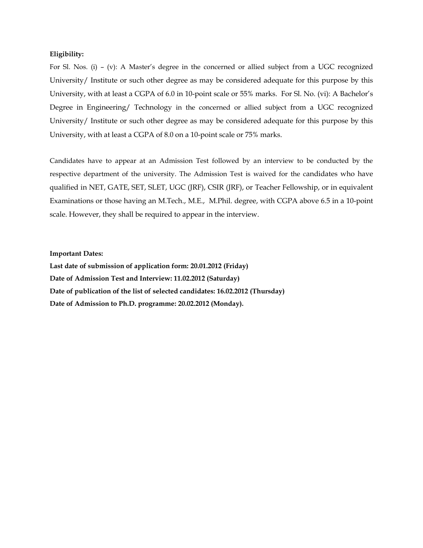#### **Eligibility:**

For Sl. Nos. (i) – (v): A Master's degree in the concerned or allied subject from a UGC recognized University/ Institute or such other degree as may be considered adequate for this purpose by this University, with at least a CGPA of 6.0 in 10-point scale or 55% marks. For Sl. No. (vi): A Bachelor's Degree in Engineering/ Technology in the concerned or allied subject from a UGC recognized University/ Institute or such other degree as may be considered adequate for this purpose by this University, with at least a CGPA of 8.0 on a 10-point scale or 75% marks.

Candidates have to appear at an Admission Test followed by an interview to be conducted by the respective department of the university. The Admission Test is waived for the candidates who have qualified in NET, GATE, SET, SLET, UGC (JRF), CSIR (JRF), or Teacher Fellowship, or in equivalent Examinations or those having an M.Tech., M.E., M.Phil. degree, with CGPA above 6.5 in a 10-point scale. However, they shall be required to appear in the interview.

#### **Important Dates:**

**Last date of submission of application form: 20.01.2012 (Friday) Date of Admission Test and Interview: 11.02.2012 (Saturday) Date of publication of the list of selected candidates: 16.02.2012 (Thursday) Date of Admission to Ph.D. programme: 20.02.2012 (Monday).**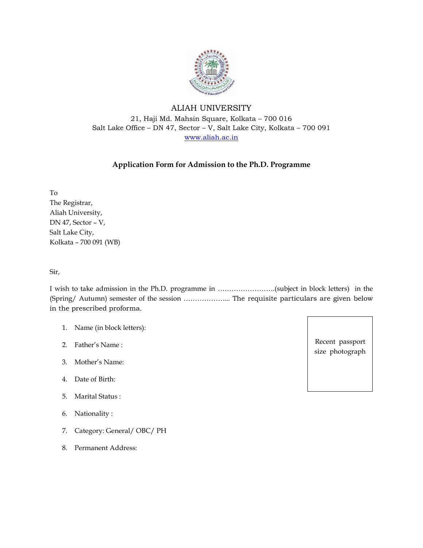

# ALIAH UNIVERSITY 21, Haji Md. Mahsin Square, Kolkata – 700 016 Salt Lake Office – DN 47, Sector – V, Salt Lake City, Kolkata – 700 091 [www.aliah.ac.in](http://www.aliah.ac.in/)

## **Application Form for Admission to the Ph.D. Programme**

To The Registrar, Aliah University, DN 47, Sector – V, Salt Lake City, Kolkata – 700 091 (WB)

Sir,

I wish to take admission in the Ph.D. programme in …………………….(subject in block letters) in the (Spring/ Autumn) semester of the session ………………... The requisite particulars are given below in the prescribed proforma.

- 1. Name (in block letters):
- 2. Father's Name :
- 3. Mother's Name:
- 4. Date of Birth:
- 5. Marital Status :
- 6. Nationality :
- 7. Category: General/ OBC/ PH
- 8. Permanent Address:

Recent passport size photograph